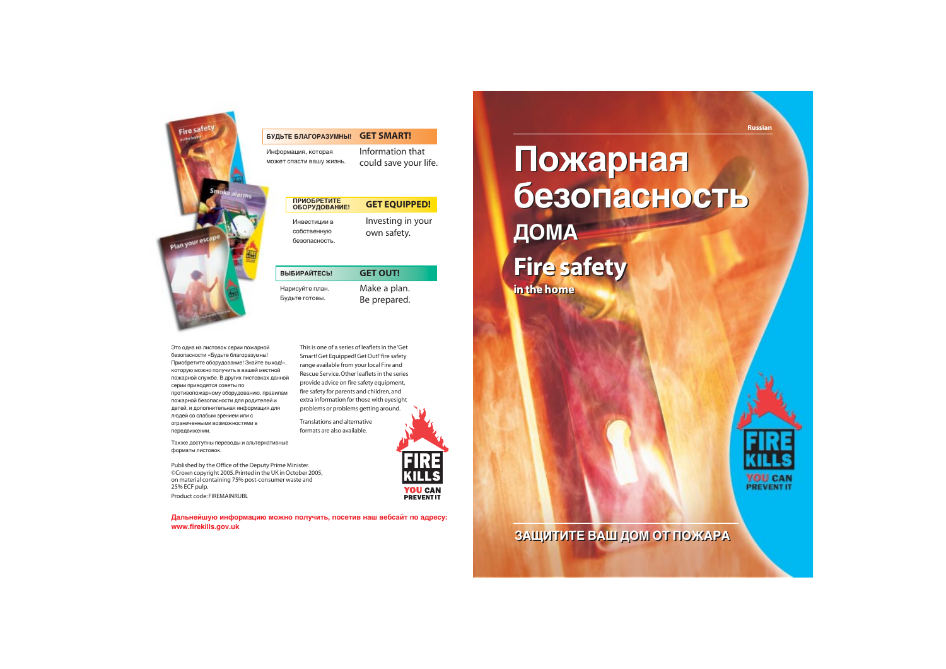

#### БУДЬТЕ БЛАГОРАЗУМНЫ! **GET SMART!**

Информация, которая может спасти вашу жизнь.

> **Fire safety Fire safety in the home in the home**

Дальнейшую информацию можно получить, посетив наш вебсайт по адресу: **www.firekills.gov.uk**

# Пожарная безопасность  $\blacksquare$ ОМА

Published by the Office of the Deputy Prime Minister. ©Crown copyright 2005.Printed in the UK in October 2005, on material containing 75% post-consumer waste and 25% ECF pulp.

| <b>ПРИОБРЕТИТЕ</b><br>ОБОРУДОВАНИЕ!          | <b>GET EQUIPPED!</b>             |
|----------------------------------------------|----------------------------------|
| Инвестиции в<br>собственную<br>безопасность. | Investing in your<br>own safety. |

Product code: FIREMAINRUBL

Information that could save your life.

**GET OUT!** 

Это одна из листовок серии пожарной безопасности «Будьте благоразумны! Приобретите оборудование! Знайте выход!», которую можно получить в вашей местной пожарной службе. В других листовках данной серии приводятся советы по противопожарному оборудованию, правилам пожарной безопасности для родителей и детей, и дополнительная информация для людей со слабым зрением или с ограниченными возможностями в передвижении.

Также доступны переводы и альтернативные форматы листовок.

Make a plan. Be prepared.

This is one of a series of leaflets in the 'Get Smart! Get Equipped! Get Out!'fire safety range available from your local Fire and Rescue Service.Other leaflets in the series



#### <u>ЗАЩИТИТЕ ВАШ ДОМ ОТ ПОЖАРА</u>

Translations and alternative formats are also available.

#### **ВЫБИРАЙТЕСЬ!**

Нарисуйте план. Будьте готовы.

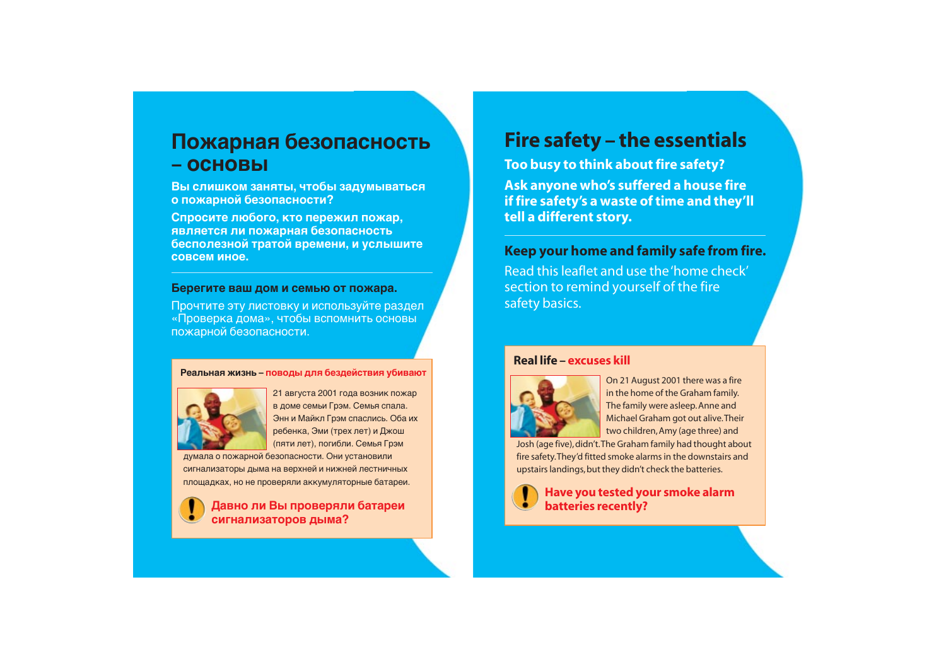# **Fire safety – the essentials**

**Too busy to think about fire safety? Ask anyone who's suffered a house fire if fire safety's a waste of time and they'll tell a different story.**

# **Keep your home and family safe from fire.**

Read this leaflet and use the 'home check' section to remind yourself of the fire safety basics.

# Пожарная безопасность **– ÓÒÌÓ'˚**

**Вы слишком заняты, чтобы задумываться О ПОЖАРНОЙ безопасности?** 

Спросите любого, кто пережил пожар. **является ли пожарная безопасность бесполезной тратой времени, и услышите** COBCEM *MHOE.* 

#### Берегите ваш дом и семью от пожара.

Прочтите эту листовку и используйте раздел «Проверка дома», чтобы вспомнить основы пожарной безопасности.

#### Реальная жизнь – поводы для бездействия убивают



21 августа 2001 года возник пожар в доме семьи Грэм. Семья спала. Энн и Майкл Грэм спаслись. Оба их ребенка, Эми (трех лет) и Джош (пяти лет), погибли. Семья Грэм

думала о пожарной безопасности. Они установили сигнализаторы дыма на верхней и нижней лестничных площадках, но не проверяли аккумуляторные батареи.

Давно ли Вы проверяли батареи сигнализаторов дыма?

On 21 August 2001 there was a fire in the home of the Graham family. The family were asleep. Anne and Michael Graham got out alive.Their two children, Amy (age three) and

Josh (age five), didn't.The Graham family had thought about fire safety.They'd fitted smoke alarms in the downstairs and upstairs landings, but they didn't check the batteries.



#### **Real life – excuses kill**



**Have you tested your smoke alarm batteries recently?**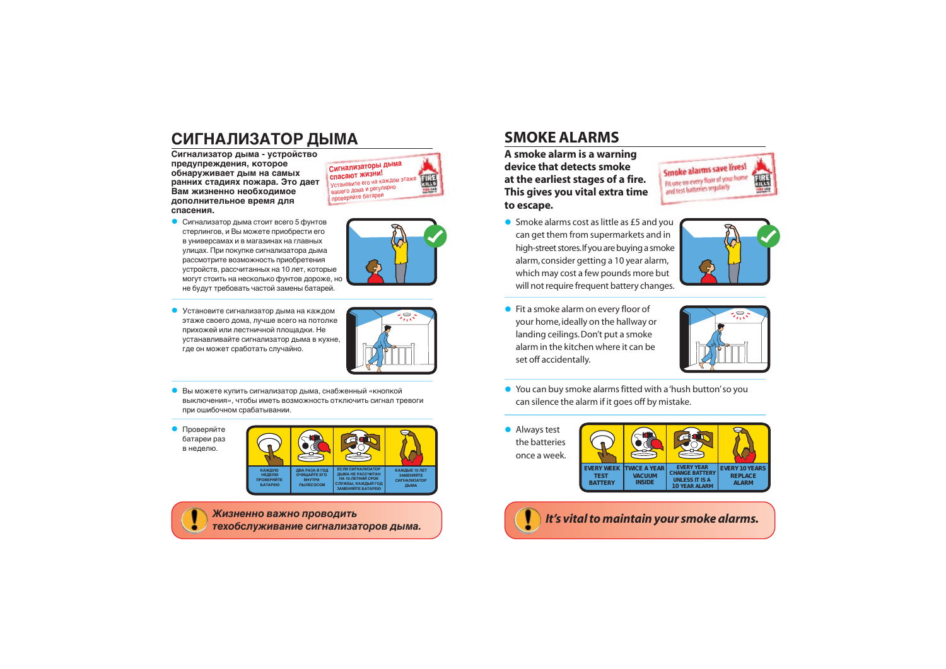# СИГНАЛИЗАТОР ДЫМА

Сигнализатор дыма - устройство предупреждения, которое обнаруживает дым на самых ранних стадиях пожара. Это дает Вам жизненно необходимое дополнительное время для спасения.

• Сигнализатор дыма стоит всего 5 фунтов стерлингов, и Вы можете приобрести его в универсамах и в магазинах на главных улицах. При покупке сигнализатора дыма рассмотрите возможность приобретения устройств, рассчитанных на 10 лет, которые могут стоить на несколько фунтов дороже, но не будут требовать частой замены батарей.

• Установите сигнализатор дыма на каждом этаже своего дома, лучше всего на потолке прихожей или лестничной площадки. Не устанавливайте сигнализатор дыма в кухне, где он может сработать случайно.



||黑

Сигнализаторы дыма

**Battleto AOMA N** Derynapho

Установите его на каждом этажи

спасают жизни!

проверяйте батареи

- 
- Вы можете купить сигнализатор дыма, снабженный «кнопкой выключения», чтобы иметь возможность отключить сигнал тревоги при ошибочном срабатывании.
- Проверяйте батареи раз в неделю.



Жизненно важно проводить техобслуживание сигнализаторов дыма.

#### **SMOKE ALARMS**

A smoke alarm is a warning device that detects smoke at the earliest stages of a fire. This gives you vital extra time to escape.

- and test batteries regularly
- Smoke alarms cost as little as £5 and you can get them from supermarkets and in high-street stores. If you are buying a smoke alarm, consider getting a 10 year alarm, which may cost a few pounds more but will not require frequent battery changes.
- Fit a smoke alarm on every floor of your home, ideally on the hallway or landing ceilings. Don't put a smoke alarm in the kitchen where it can be set off accidentally.



- You can buy smoke alarms fitted with a 'hush button' so you can silence the alarm if it goes off by mistake.
- Always test the batteries once a week.



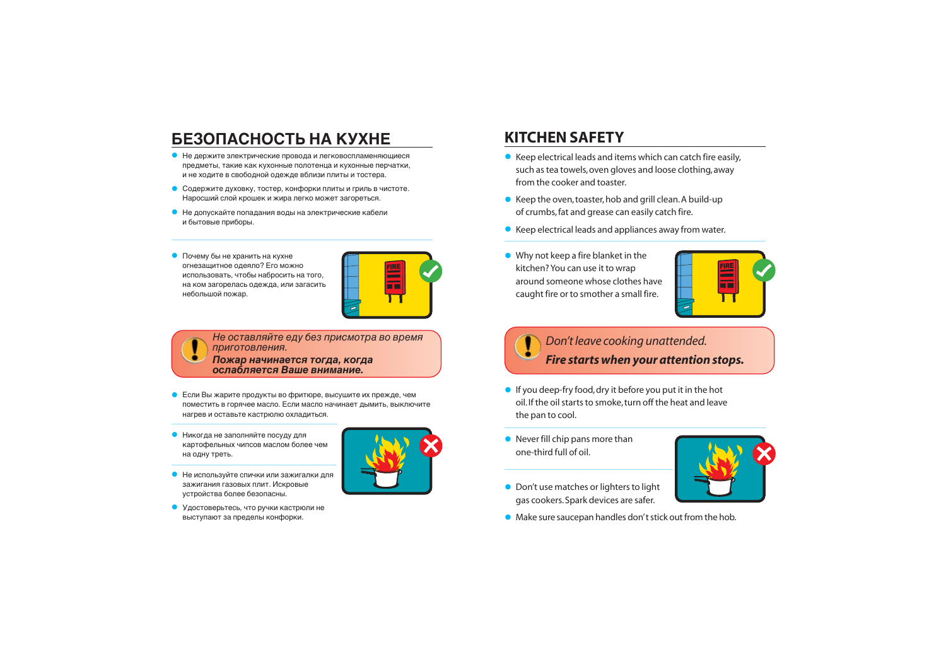# БЕЗОПАСНОСТЬ НА КУХНЕ

- Не держите электрические провода и легковоспламеняющиеся предметы, такие как кухонные полотенца и кухонные перчатки, и не ходите в свободной одежде вблизи плиты и тостера.
- Содержите духовку, тостер, конфорки плиты и гриль в чистоте. Наросший слой крошек и жира легко может загореться.
- Не допускайте попадания воды на электрические кабели и бытовые приборы.
- Почему бы не хранить на кухне огнезащитное одеяло? Его можно использовать, чтобы набросить на того, на ком загорелась одежда, или загасить небольшой пожар.



Не оставляйте еду без присмотра во время приготовления.

Пожар начинается тогда, когда ослабляется Ваше внимание.

- Если Вы жарите продукты во фритюре, высушите их прежде, чем поместить в горячее масло. Если масло начинает дымить, выключите нагрев и оставьте кастрюлю охладиться.
- Никогда не заполняйте посуду для картофельных чипсов маслом более чем на одну треть.



• Удостоверьтесь, что ручки кастрюли не выступают за пределы конфорки.



- Keep electrical leads and items which can catch fire easily, such as tea towels, oven gloves and loose clothing, away from the cooker and toaster.
- Keep the oven, toaster, hob and grill clean. A build-up of crumbs, fat and grease can easily catch fire.
- Keep electrical leads and appliances away from water.
- Why not keep a fire blanket in the kitchen? You can use it to wrap around someone whose clothes have caught fire or to smother a small fire.

# Don't leave cooking unattended. Fire starts when your attention stops.

- If you deep-fry food, dry it before you put it in the hot oil. If the oil starts to smoke, turn off the heat and leave the pan to cool.
- Never fill chip pans more than one-third full of oil.



- Don't use matches or lighters to light gas cookers. Spark devices are safer.
- Make sure saucepan handles don't stick out from the hob.



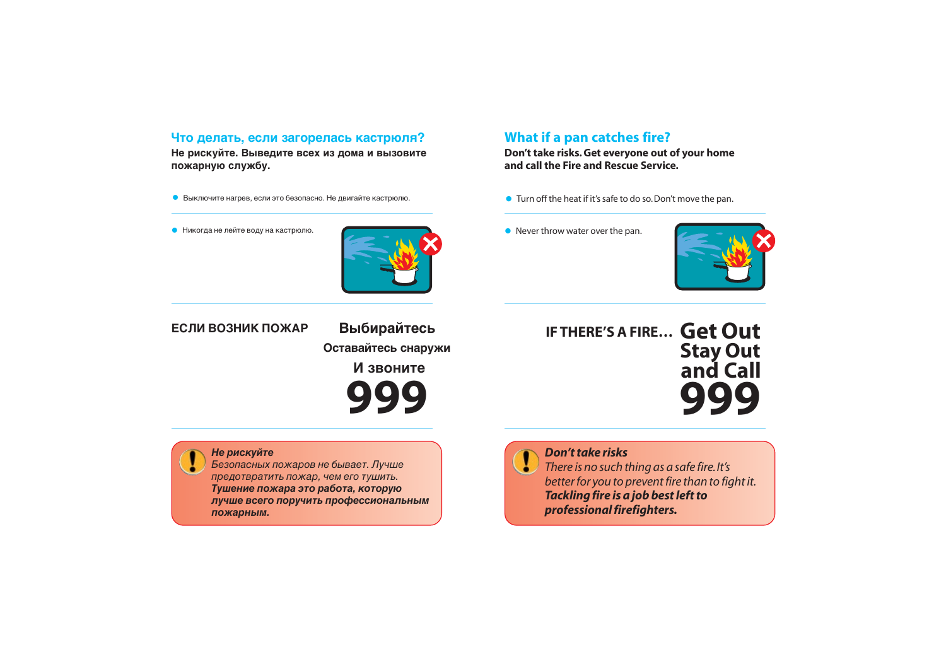#### Что делать, если загорелась кастрюля?

Не рискуйте. Выведите всех из дома и вызовите пожарную службу.

- Выключите нагрев, если это безопасно. Не двигайте кастрюлю.
- Никогда не лейте воду на кастрюлю.



## What if a pan catches fire?

Don't take risks. Get everyone out of your home and call the Fire and Rescue Service.

- Turn off the heat if it's safe to do so. Don't move the pan.
- $\bullet$  Never throw water over the pan.



#### ЕСЛИ ВОЗНИК ПОЖАР

Выбирайтесь Оставайтесь снаружи И звоните



**IF THERE'S A FIRE... Get Out** 



#### Не рискуйте

Безопасных пожаров не бывает. Лучше предотвратить пожар, чем его тушить. Тушение пожара это работа, которую лучше всего поручить профессиональным пожарным.

# Don't take risks

There is no such thing as a safe fire. It's better for you to prevent fire than to fight it. Tackling fire is a job best left to professional firefighters.



# **Stay Out<br>and Call**

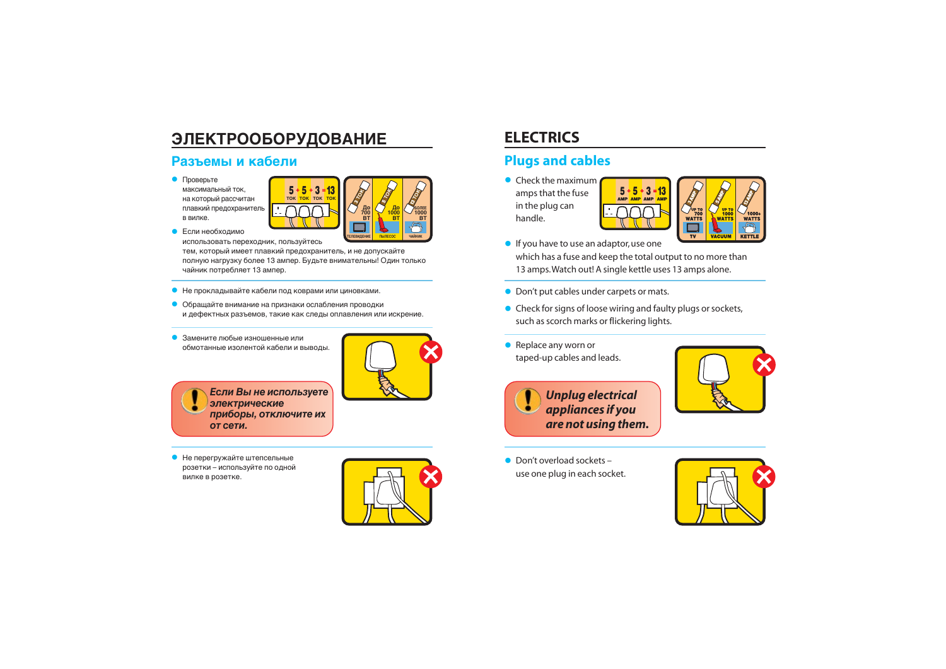# **ЭЛЕКТРООБОРУДОВАНИЕ**

 $\mathbf{r}$ 

#### Разъемы и кабели

 $\bullet$  Проверьте максимальный ток. на который рассчитан плавкий предохранитель в вилке.



• Если необходимо

использовать переходник, пользуйтесь тем, который имеет плавкий предохранитель, и не допускайте полную нагрузку более 13 ампер. Будьте внимательны! Один только чайник потребляет 13 ампер.

- Не прокладывайте кабели под коврами или циновками.
- Обращайте внимание на признаки ослабления проводки и дефектных разъемов, такие как следы оплавления или искрение.
- Замените любые изношенные или обмотанные изолентой кабели и выводы.



Если Вы не используете электрические приборы, отключите их от сети.

• Не перегружайте штепсельные розетки - используйте по одной вилке в розетке.



# **ELECTRICS**

#### **Plugs and cables**

 $\bullet$  Check the maximum amps that the fuse in the plug can handle.



- If you have to use an adaptor, use one which has a fuse and keep the total output to no more than 13 amps. Watch out! A single kettle uses 13 amps alone.
- Don't put cables under carpets or mats.
- Check for signs of loose wiring and faulty plugs or sockets, such as scorch marks or flickering lights.
- $\bullet$  Replace any worn or taped-up cables and leads.



- 
- Don't overload sockets use one plug in each socket.





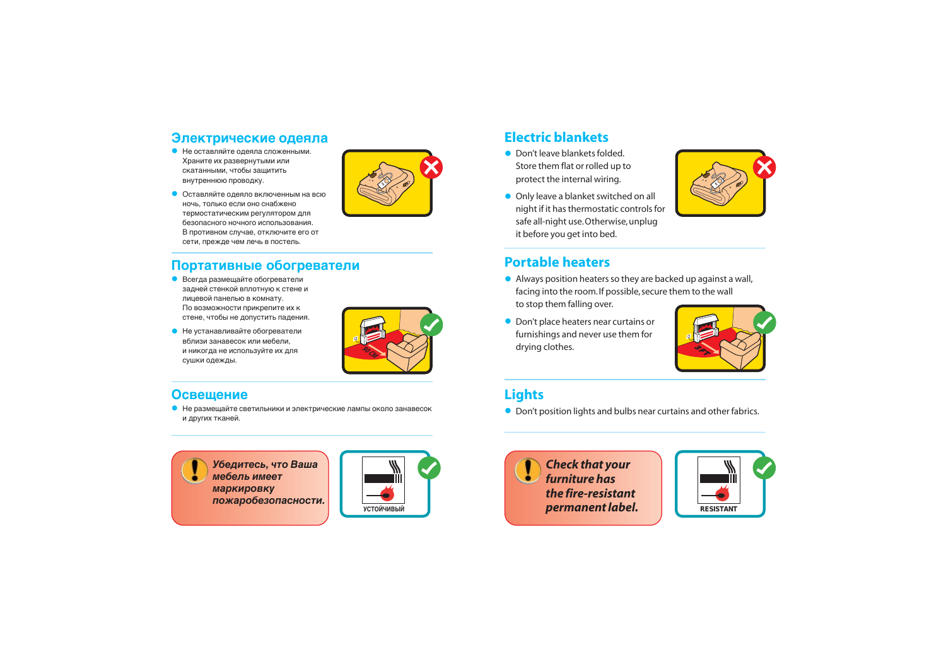#### Электрические одеяла

- Не оставляйте одеяла сложенными. Храните их развернутыми или скатанными, чтобы защитить внутреннюю проводку.
- Оставляйте одеяло включенным на всю ночь, только если оно снабжено термостатическим регулятором для безопасного ночного использования. В противном случае, отключите его от сети, прежде чем лечь в постель.

#### Портативные обогреватели

- Всегда размещайте обогреватели задней стенкой вплотную к стене и лицевой панелью в комнату. По возможности прикрепите их к стене, чтобы не допустить падения.
- Не устанавливайте обогреватели вблизи занавесок или мебели, и никогда не используйте их для сушки одежды.

#### **Electric blankets**

- Don't leave blankets folded. Store them flat or rolled up to protect the internal wiring.
- Only leave a blanket switched on all night if it has thermostatic controls for safe all-night use. Otherwise, unplug it before you get into bed.

#### **Portable heaters**

- Always position heaters so they are backed up against a wall, facing into the room. If possible, secure them to the wall to stop them falling over.
- Don't place heaters near curtains or furnishings and never use them for drying clothes.









#### **Lights**

• Don't position lights and bulbs near curtains and other fabrics.



# **90 CM**

#### **Освещение**

 $\bullet$  Не размещайте светильники и электрические лампы около занавесок и других тканей.

**Убедитесь, что Ваша мебель имеет МАРКИРОВКУ** пожаробезопасности.

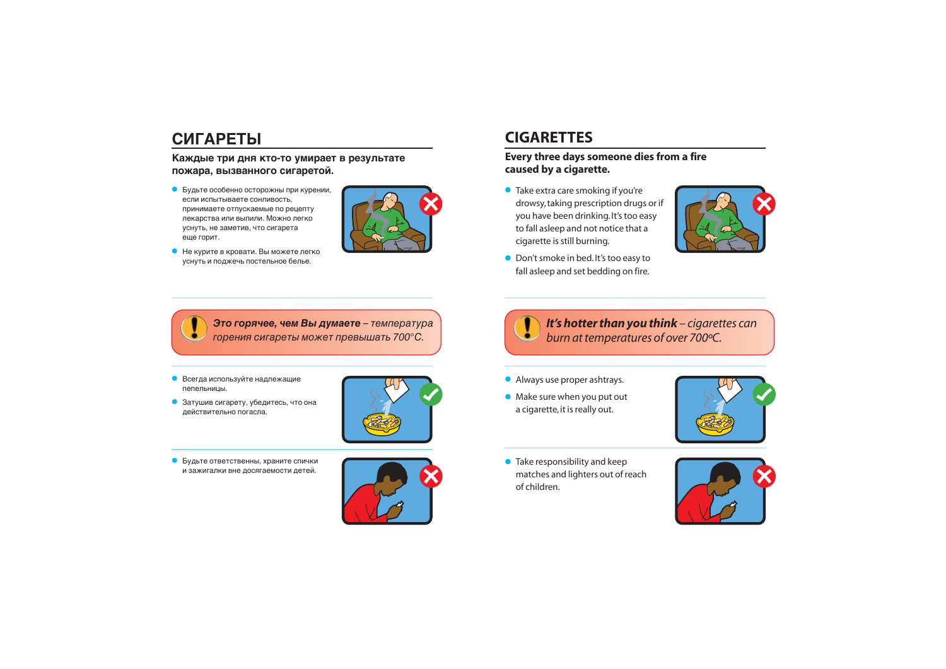# **СИГАРЕТЫ**

#### Каждые три дня кто-то умирает в результате пожара, вызванного сигаретой.

- $\bullet$  Будьте особенно осторожны при курении, если испытываете сонливость, принимаете отпускаемые по рецепту лекарства или выпили. Можно легко уснуть, не заметив, что сигарета еще горит.
- Не курите в кровати. Вы можете легко уснуть и поджечь постельное белье.



Это горячее, чем Вы думаете - температура горения сигареты может превышать 700°С.

- $\bullet$  Всегда используйте надлежащие пепельницы.
- Затушив сигарету, убедитесь, что она действительно погасла.



• Будьте ответственны, храните спички и зажигалки вне досягаемости детей.





• Take extra care smoking if you're drowsy, taking prescription drugs or if you have been drinking.It's too easy to fall asleep and not notice that a cigarette is still burning.



• Don't smoke in bed. It's too easy to fall asleep and set bedding on fire.

## **CIGARETTES**

#### **Every three days someone dies from a fire caused by a cigarette.**

• Take responsibility and keep matches and lighters out of reach of children.







#### *It's hotter than you think – cigarettes can burn at temperatures of over 700ºC.*

- Always use proper ashtrays.
- Make sure when you put out a cigarette, it is really out.

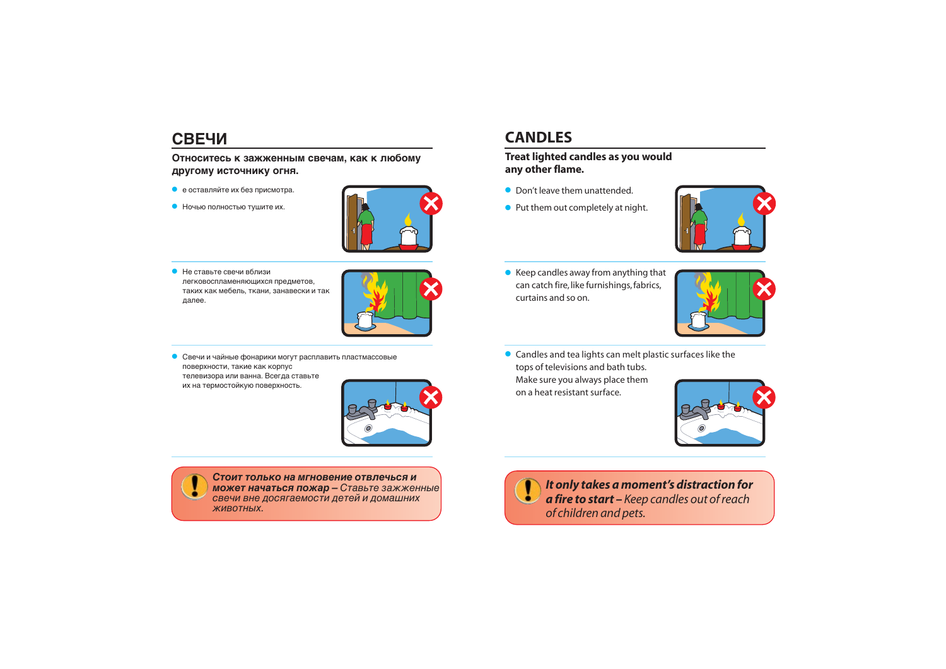## СВЕЧИ

#### Относитесь к зажженным свечам, как к любому другому источнику огня.

- е оставляйте их без присмотра.
- Ночью полностью тушите их.



• Не ставьте свечи вблизи легковоспламеняющихся предметов, таких как мебель, ткани, занавески и так далее.



• Свечи и чайные фонарики могут расплавить пластмассовые поверхности, такие как корпус телевизора или ванна. Всегда ставьте их на термостойкую поверхность.



Стоит только на мгновение отвлечься и может начаться пожар - Ставьте зажженные свечи вне досягаемости детей и домашних ЖИВОТНЫХ.

# **CANDLES**

#### Treat lighted candles as you would any other flame.

- Don't leave them unattended.
- Put them out completely at night.



• Keep candles away from anything that can catch fire, like furnishings, fabrics, curtains and so on.



• Candles and tea lights can melt plastic surfaces like the tops of televisions and bath tubs. Make sure you always place them on a heat resistant surface.



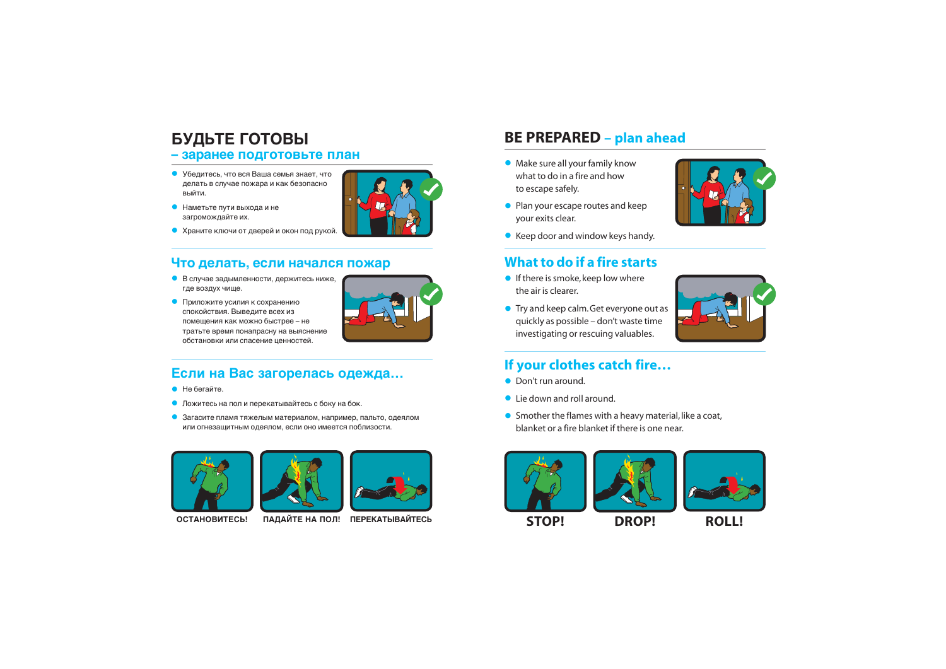# **БУДЬТЕ ГОТОВЫ**

- **заранее подготовьте план**
- Убедитесь, что вся Ваша семья знает, что делать в случае пожара и как безопасно выйти.
- $\bullet$  Наметьте пути выхода и не загромождайте их.



- **•** If there is smoke, keep low where the air is clearer.
- Try and keep calm. Get everyone out as quickly as possible – don't waste time investigating or rescuing valuables.



- Don't run around.
- Lie down and roll around.
- Smother the flames with a heavy material, like a coat, blanket or a fire blanket if there is one near.
- Make sure all your family know what to do in a fire and how to escape safely.
- Plan your escape routes and keep your exits clear.



• Keep door and window keys handy.

#### **What to do if a fire starts**

#### **If your clothes catch fire…**











#### Что делать, если начался пожар

- $\bullet$  В случае задымленности, держитесь ниже, где воздух чище.
- Приложите усилия к сохранению спокойствия. Выведите всех из помещения как можно быстрее – не тратьте время понапрасну на выяснение обстановки или спасение ценностей.



#### Если на Вас загорелась одежда...

- $\bullet$  He бегайте.
- $\bullet$  Ложитесь на пол и перекатывайтесь с боку на бок.
- $\bullet$  Загасите пламя тяжелым материалом, например, пальто, одеялом или огнезащитным одеялом, если оно имеется поблизости.









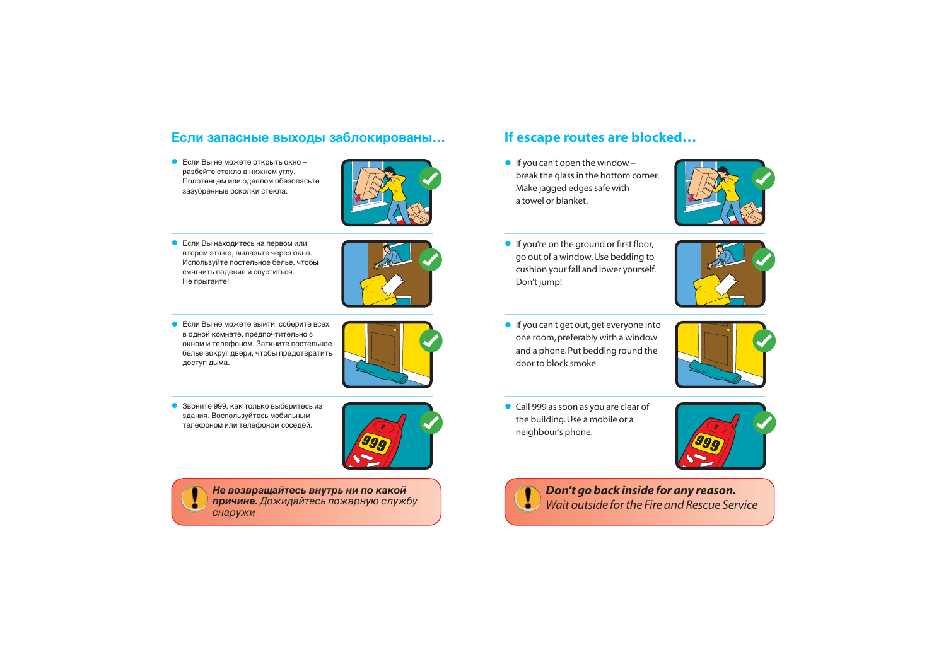#### Если запасные выходы заблокированы...

 $\bullet$  Если Вы не можете открыть окно $$ разбейте стекло в нижнем углу. Полотенцем или одеялом обезопасьте зазубренные осколки стекла.



- $\bullet$  Если Вы находитесь на первом или втором этаже, вылазьте через окно. Используйте постельное белье, чтобы смягчить падение и спуститься. Не прыгайте!
- Если Вы не можете выйти, соберите всех в одной комнате, предпочтительно с окном и телефоном. Заткните постельное белье вокруг двери, чтобы предотвратить доступ дыма.



• Звоните 999, как только выберитесь из здания. Воспользуйтесь мобильным телефоном или телефоном соседей.





Не возвращайтесь внутрь ни по какой причине. Дожидайтесь пожарную службу **СНАРУЖИ** 

• If you can't get out, get everyone into one room, preferably with a window and a phone. Put bedding round the door to block smoke.



• If you're on the ground or first floor, go out of a window. Use bedding to cushion your fall and lower yourself. Don't jump!



#### **If escape routes are blocked…**

• If you can't open the window  $$ break the glass in the bottom corner. Make jagged edges safe with a towel or blanket.





• Call 999 as soon as you are clear of the building. Use a mobile or a neighbour's phone.

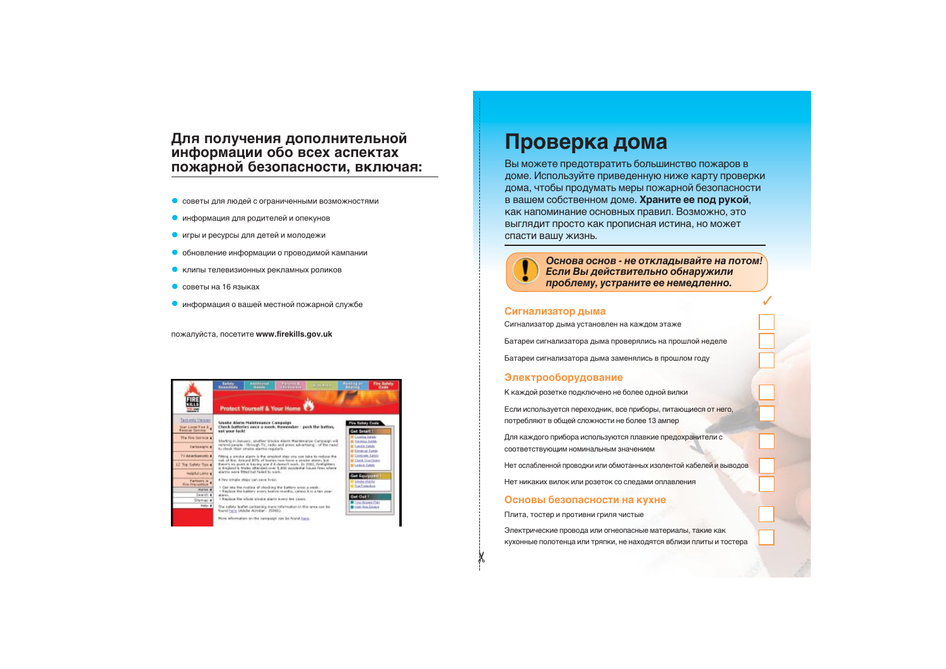#### Для получения дополнительной информации обо всех аспектах пожарной безопасности, включая:

- $\bullet$  советы для людей с ограниченными возможностями
- $\bullet$  информация для родителей и опекунов
- $\bullet$  игры и ресурсы для детей и молодежи
- $\bullet$  обновление информации о проводимой кампании
- $\bullet$  клипы телевизионных рекламных роликов
- $\bullet$  советы на 16 языках
- $\bullet$  информация о вашей местной пожарной службе

пожалуйста, посетите www.firekills.gov.uk

|                                                          | fields<br>Accelerat.<br><b>Alling</b><br><b>Altri Andr</b><br><b>Examples</b><br>North                                                                                                                                                                                                            | <b>Fire Sefero</b><br>1122233                                                                               |  |  |
|----------------------------------------------------------|---------------------------------------------------------------------------------------------------------------------------------------------------------------------------------------------------------------------------------------------------------------------------------------------------|-------------------------------------------------------------------------------------------------------------|--|--|
| <b>THE STATE</b>                                         | Protect Yourself & Your Home                                                                                                                                                                                                                                                                      |                                                                                                             |  |  |
| Text-only Vietzard<br>Voet Local Fire & 4                | Smake Alarm Haintenance Campaign<br>Check batteries once a week. Homenday - push the button.<br>not your look!                                                                                                                                                                                    | <b>Pire Safety Code</b><br>Get Smart !                                                                      |  |  |
| The Fire Service a<br><b>Carichington</b>                | Etarting in January, another tracks starrs Maintenance Campaign will<br>remind people - through TV, radio and grees advertising - of the need<br>to check their amake alarma regularly.                                                                                                           | <b>BE Cooking Sarate</b><br><b>B. Employ Leich</b><br><b>B. Carolin Eaton</b><br><b>BE Electronic Letch</b> |  |  |
| TV Aburtowners: 4<br>LE Top Safety Tisk a                | Fitting a smoke alarm is the simplest step you can take to neduce the<br>risk of fire. Around BOS, of homes near have a smalle alarm, but<br>Base's as post is keying one if it doesn't work. In 2002, firefighters<br>is breaking to traine adjacenced over 5,000 accidental house fires referre | <b>In Cololisate Sales</b><br><b>Chris True Howy</b><br><b>B Leinen Eately</b>                              |  |  |
| <b>Helpful Links 4</b><br>Farlanys in<br>Fire Prevention | alarms were fitted but failed to wick.<br>A faw simple steps can save lives:<br>It Get into the reating of checking the battery ance a week.                                                                                                                                                      | Get Equipped<br><b>M. S. Bridge All Artist</b><br><b>Cia Fotenico</b>                                       |  |  |
| murket 4<br>Search 4<br>Stetrap 4                        | I Replace the battery enery tuelite reprilho, unless it is a text year.<br>alares.<br>> Replace the whole graphs alarm every ten nears.                                                                                                                                                           | <b>Get Out 1</b><br>Time Economic Adam                                                                      |  |  |
| Help 4                                                   | The eafety leaflet cantaining mare information in this area can be<br>found hare (Adobe Acrobat - 3594b).<br>More information on the nampoign can be found baco.                                                                                                                                  | <b>B</b> High Birn Goldon                                                                                   |  |  |

# Проверка дома

Вы можете предотвратить большинство пожаров в доме. Используйте приведенную ниже карту проверки дома, чтобы продумать меры пожарной безопасности в вашем собственном доме. Храните ее под рукой, как напоминание основных правил. Возможно, это выглядит просто как прописная истина, но может спасти вашу жизнь.



 $\chi$ 

Основа основ - не откладывайте на потом! Если Вы действительно обнаружили проблему, устраните ее немедленно.

#### Сигнализатор дыма

Сигнализатор дыма установлен на каждом этаже

Батареи сигнализатора дыма проверялись на прошлой неделе

Батареи сигнализатора дыма заменялись в прошлом году

#### Электрооборудование

К каждой розетке подключено не более одной вилки

Если используется переходник, все приборы, питающиеся от него, потребляют в общей сложности не более 13 ампер

Для каждого прибора используются плавкие предохранители с соответствующим номинальным значением

Нет ослабленной проводки или обмотанных изолентой кабелей и выводов

Нет никаких вилок или розеток со следами оплавления

#### **Основы безопасности на кухне**

Плита, тостер и противни гриля чистые

Электрические провода или огнеопасные материалы, такие как КУХОННЫЕ ПОЛОТЕНЦА ИЛИ ТРЯПКИ, НЕ НАХОДЯТСЯ Вблизи плиты и тостера

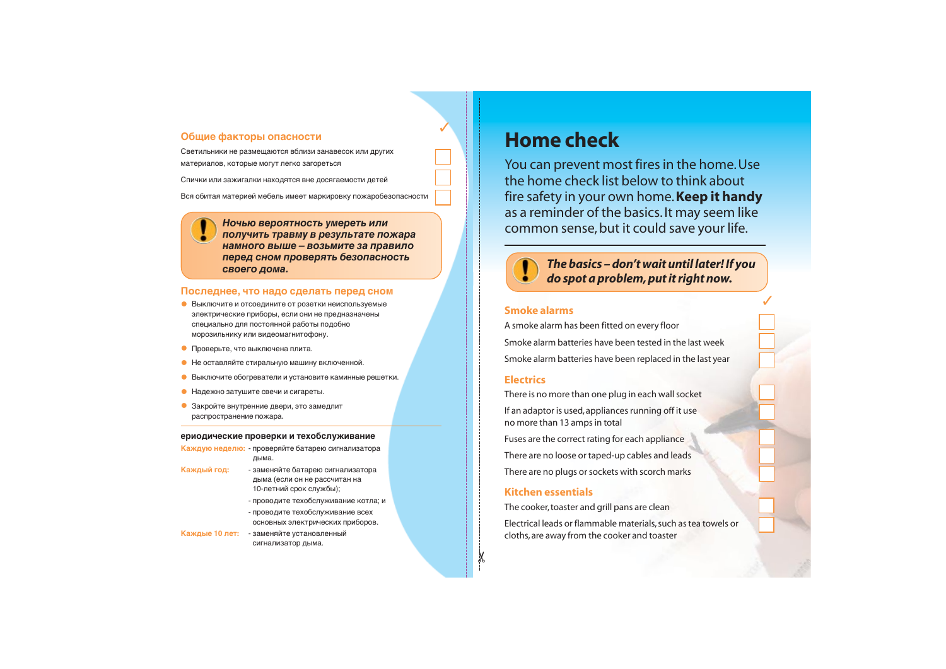#### Общие факторы опасности

Светильники не размещаются вблизи занавесок или других материалов, которые могут легко загореться

Спички или зажигалки находятся вне досягаемости детей

Вся обитая материей мебель имеет маркировку пожаробезопасности

Ночью вероятность умереть или получить травму в результате пожара **НАМНОГО ВЫШЕ – ВОЗЬМИТЕ ЗА ПРАВИЛО перед сном проверять безопасность** своего дома.

#### Последнее, что надо сделать перед сном

- Выключите и отсоедините от розетки неиспользуемые<br>• электрические приборы, если они не предназначены специально для постоянной работы подобно морозильнику или видеомагнитофону.
- Проверьте, что выключена плита.
- Не оставляйте стиральную машину включенной.
- $\bullet$  Выключите обогреватели и установите каминные решетки.
- Надежно затушите свечи и сигареты.
- Закройте внутренние двери, это замедлит распространение пожара.

# **Home check**

#### ериодические проверки и техобслуживание

Каждую неделю: - проверяйте батарею сигнализатора дыма.

- Каждый год: <sup>•</sup> заменяйте батарею сигнализатора дыма (если он не рассчитан на 10-летний срок службы);
	- проводите техобслуживание котла: и
	- проводите техобслуживание всех основных электрических приборов.
- Каждые 10 лет: заменяйте установленный сигнализатор дыма.

You can prevent most fires in the home. Use the home check list below to think about fire safety in your own home. **Keep it handy** as a reminder of the basics. It may seem like common sense, but it could save your life.



#### *The basics – don't wait until later! If you do spot a problem, put it right now.*

#### **Smoke alarms**

A smoke alarm has been fitted on every floor Smoke alarm batteries have been tested in the last week Smoke alarm batteries have been replaced in the last year

#### **Electrics**

There is no more than one plug in each wall socket If an adaptor is used, appliances running off it use no more than 13 amps in total

Fuses are the correct rating for each appliance

There are no loose or taped-up cables and leads

There are no plugs or sockets with scorch marks

#### **Kitchen essentials**

The cooker, toaster and grill pans are clean

Electrical leads or flammable materials, such as tea towels or cloths, are away from the cooker and toaster



✂

✓